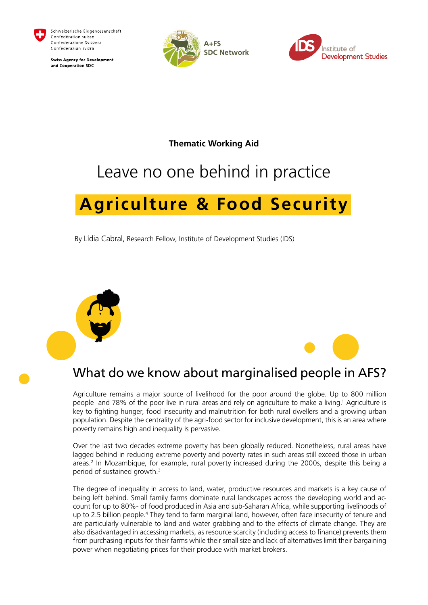<span id="page-0-0"></span>

Schweizerische Eidgenossenschaft Confédération suisse Confederazione Svizzera Confederaziun svizra

**Swiss Agency for Development** and Cooperation SDC





**Thematic Working Aid** 

# Leave no one behind in practice

# **Agriculture & Food Security**

By Lídia Cabral, Research Fellow, Institute of Development Studies (IDS)





Agriculture remains a major source of livelihood for the poor around the globe. Up to 800 million people and 78% of the poor live in rural areas and rely on agriculture to make a living[.1](#page-8-0) Agriculture is key to fighting hunger, food insecurity and malnutrition for both rural dwellers and a growing urban population. Despite the centrality of the agri-food sector for inclusive development, this is an area where poverty remains high and inequality is pervasive.

Over the last two decades extreme poverty has been globally reduced. Nonetheless, rural areas have lagged behind in reducing extreme poverty and poverty rates in such areas still exceed those in urban areas.<sup>[2](#page-8-0)</sup> In Mozambique, for example, rural poverty increased during the 2000s, despite this being a period of sustained growth[.3](#page-8-0)

The degree of inequality in access to land, water, productive resources and markets is a key cause of being left behind. Small family farms dominate rural landscapes across the developing world and account for up to 80%- of food produced in Asia and sub-Saharan Africa, while supporting livelihoods of up to 2.5 billion people.<sup>[4](#page-8-0)</sup> They tend to farm marginal land, however, often face insecurity of tenure and are particularly vulnerable to land and water grabbing and to the effects of climate change. They are also disadvantaged in accessing markets, as resource scarcity (including access to finance) prevents them from purchasing inputs for their farms while their small size and lack of alternatives limit their bargaining power when negotiating prices for their produce with market brokers.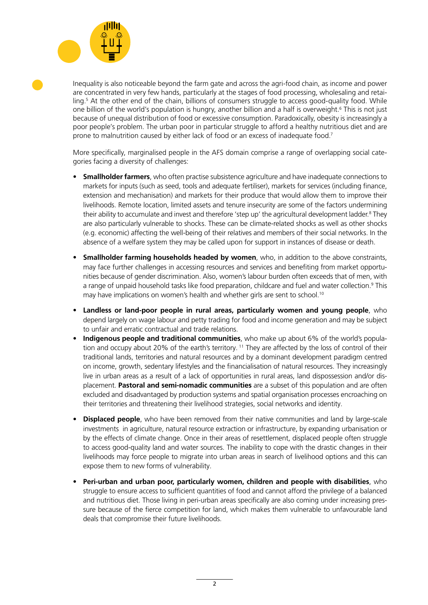<span id="page-1-0"></span>

Inequality is also noticeable beyond the farm gate and across the agri-food chain, as income and power are concentrated in very few hands, particularly at the stages of food processing, wholesaling and retailing.[5](#page-8-0) At the other end of the chain, billions of consumers struggle to access good-quality food. While one billion of the world's population is hungry, another billion and a half is overweight.<sup>6</sup> This is not just because of unequal distribution of food or excessive consumption. Paradoxically, obesity is increasingly a poor people's problem. The urban poor in particular struggle to afford a healthy nutritious diet and are prone to malnutrition caused by either lack of food or an excess of inadequate food[.7](#page-8-0)

More specifically, marginalised people in the AFS domain comprise a range of overlapping social categories facing a diversity of challenges:

- **Smallholder farmers**, who often practise subsistence agriculture and have inadequate connections to markets for inputs (such as seed, tools and adequate fertiliser), markets for services (including finance, extension and mechanisation) and markets for their produce that would allow them to improve their livelihoods. Remote location, limited assets and tenure insecurity are some of the factors undermining their ability to accumulate and invest and therefore 'step up' the agricultural development ladder.<sup>8</sup> They are also particularly vulnerable to shocks. These can be climate-related shocks as well as other shocks (e.g. economic) affecting the well-being of their relatives and members of their social networks. In the absence of a welfare system they may be called upon for support in instances of disease or death.
- **Smallholder farming households headed by women**, who, in addition to the above constraints, may face further challenges in accessing resources and services and benefiting from market opportunities because of gender discrimination. Also, women's labour burden often exceeds that of men, with a range of unpaid household tasks like food preparation, childcare and fuel and water collection.<sup>9</sup> This may have implications on women's health and whether girls are sent to school.<sup>10</sup>
- **Landless or land-poor people in rural areas, particularly women and young people**, who depend largely on wage labour and petty trading for food and income generation and may be subject to unfair and erratic contractual and trade relations.
- **Indigenous people and traditional communities**, who make up about 6% of the world's population and occupy about 20% of the earth's territory. [11](#page-9-0) They are affected by the loss of control of their traditional lands, territories and natural resources and by a dominant development paradigm centred on income, growth, sedentary lifestyles and the financialisation of natural resources. They increasingly live in urban areas as a result of a lack of opportunities in rural areas, land dispossession and/or displacement. **Pastoral and semi-nomadic communities** are a subset of this population and are often excluded and disadvantaged by production systems and spatial organisation processes encroaching on their territories and threatening their livelihood strategies, social networks and identity.
- **Displaced people**, who have been removed from their native communities and land by large-scale investments in agriculture, natural resource extraction or infrastructure, by expanding urbanisation or by the effects of climate change. Once in their areas of resettlement, displaced people often struggle to access good-quality land and water sources. The inability to cope with the drastic changes in their livelihoods may force people to migrate into urban areas in search of livelihood options and this can expose them to new forms of vulnerability.
- **Peri-urban and urban poor, particularly women, children and people with disabilities**, who struggle to ensure access to sufficient quantities of food and cannot afford the privilege of a balanced and nutritious diet. Those living in peri-urban areas specifically are also coming under increasing pressure because of the fierce competition for land, which makes them vulnerable to unfavourable land deals that compromise their future livelihoods.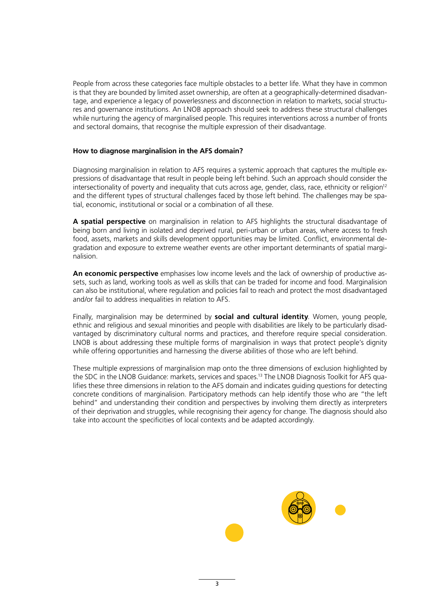<span id="page-2-0"></span>People from across these categories face multiple obstacles to a better life. What they have in common is that they are bounded by limited asset ownership, are often at a geographically-determined disadvantage, and experience a legacy of powerlessness and disconnection in relation to markets, social structures and governance institutions. An LNOB approach should seek to address these structural challenges while nurturing the agency of marginalised people. This requires interventions across a number of fronts and sectoral domains, that recognise the multiple expression of their disadvantage.

### **How to diagnose marginalision in the AFS domain?**

Diagnosing marginalision in relation to AFS requires a systemic approach that captures the multiple expressions of disadvantage that result in people being left behind. Such an approach should consider the intersectionality of poverty and inequality that cuts across age, gender, class, race, ethnicity or religion<sup>12</sup> and the different types of structural challenges faced by those left behind. The challenges may be spatial, economic, institutional or social or a combination of all these.

**A spatial perspective** on marginalision in relation to AFS highlights the structural disadvantage of being born and living in isolated and deprived rural, peri-urban or urban areas, where access to fresh food, assets, markets and skills development opportunities may be limited. Conflict, environmental degradation and exposure to extreme weather events are other important determinants of spatial marginalision.

**An economic perspective** emphasises low income levels and the lack of ownership of productive assets, such as land, working tools as well as skills that can be traded for income and food. Marginalision can also be institutional, where regulation and policies fail to reach and protect the most disadvantaged and/or fail to address inequalities in relation to AFS.

Finally, marginalision may be determined by **social and cultural identity**. Women, young people, ethnic and religious and sexual minorities and people with disabilities are likely to be particularly disadvantaged by discriminatory cultural norms and practices, and therefore require special consideration. LNOB is about addressing these multiple forms of marginalision in ways that protect people's dignity while offering opportunities and harnessing the diverse abilities of those who are left behind.

These multiple expressions of marginalision map onto the three dimensions of exclusion highlighted by the SDC in the LNOB Guidance: markets, services and spaces[.13](#page-9-0) The LNOB Diagnosis Toolkit for AFS qualifies these three dimensions in relation to the AFS domain and indicates guiding questions for detecting concrete conditions of marginalision. Participatory methods can help identify those who are "the left behind" and understanding their condition and perspectives by involving them directly as interpreters of their deprivation and struggles, while recognising their agency for change. The diagnosis should also take into account the specificities of local contexts and be adapted accordingly.

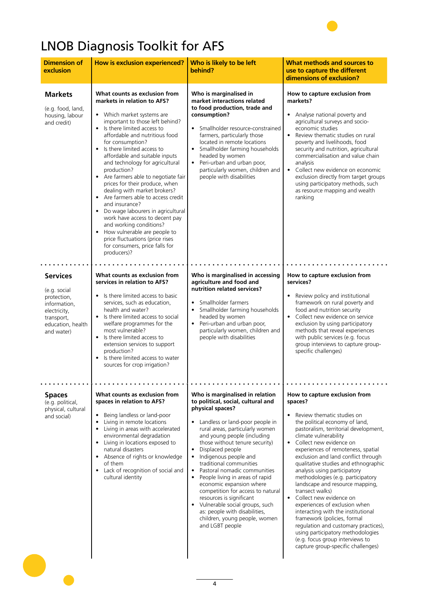# LNOB Diagnosis Toolkit for AFS

| <b>Dimension of</b><br>exclusion                                                                                                | How is exclusion experienced?                                                                                                                                                                                                                                                                                                                                                                                                                                                                                                                                                                                                                                                                                            | Who is likely to be left<br>behind?                                                                                                                                                                                                                                                                                                                                                                                                                                                                                                                                                                                           | What methods and sources to<br>use to capture the different<br>dimensions of exclusion?                                                                                                                                                                                                                                                                                                                                                                                                                                                                                                                                                                                                                                                                       |
|---------------------------------------------------------------------------------------------------------------------------------|--------------------------------------------------------------------------------------------------------------------------------------------------------------------------------------------------------------------------------------------------------------------------------------------------------------------------------------------------------------------------------------------------------------------------------------------------------------------------------------------------------------------------------------------------------------------------------------------------------------------------------------------------------------------------------------------------------------------------|-------------------------------------------------------------------------------------------------------------------------------------------------------------------------------------------------------------------------------------------------------------------------------------------------------------------------------------------------------------------------------------------------------------------------------------------------------------------------------------------------------------------------------------------------------------------------------------------------------------------------------|---------------------------------------------------------------------------------------------------------------------------------------------------------------------------------------------------------------------------------------------------------------------------------------------------------------------------------------------------------------------------------------------------------------------------------------------------------------------------------------------------------------------------------------------------------------------------------------------------------------------------------------------------------------------------------------------------------------------------------------------------------------|
| <b>Markets</b><br>(e.g. food, land,<br>housing, labour<br>and credit)                                                           | What counts as exclusion from<br>markets in relation to AFS?<br>• Which market systems are<br>important to those left behind?<br>Is there limited access to<br>affordable and nutritious food<br>for consumption?<br>Is there limited access to<br>affordable and suitable inputs<br>and technology for agricultural<br>production?<br>Are farmers able to negotiate fair<br>prices for their produce, when<br>dealing with market brokers?<br>Are farmers able to access credit<br>and insurance?<br>Do wage labourers in agricultural<br>work have access to decent pay<br>and working conditions?<br>How vulnerable are people to<br>price fluctuations (price rises<br>for consumers, price falls for<br>producers)? | Who is marginalised in<br>market interactions related<br>to food production, trade and<br>consumption?<br>Smallholder resource-constrained<br>farmers, particularly those<br>located in remote locations<br>Smallholder farming households<br>headed by women<br>• Peri-urban and urban poor,<br>particularly women, children and<br>people with disabilities                                                                                                                                                                                                                                                                 | How to capture exclusion from<br>markets?<br>• Analyse national poverty and<br>agricultural surveys and socio-<br>economic studies<br>$\bullet$<br>Review thematic studies on rural<br>poverty and livelihoods, food<br>security and nutrition, agricultural<br>commercialisation and value chain<br>analysis<br>Collect new evidence on economic<br>$\bullet$<br>exclusion directly from target groups<br>using participatory methods, such<br>as resource mapping and wealth<br>ranking                                                                                                                                                                                                                                                                     |
| <b>Services</b><br>(e.g. social<br>protection,<br>information,<br>electricity,<br>transport,<br>education, health<br>and water) | What counts as exclusion from<br>services in relation to AFS?<br>Is there limited access to basic<br>services, such as education,<br>health and water?<br>Is there limited access to social<br>welfare programmes for the<br>most vulnerable?<br>• Is there limited access to<br>extension services to support<br>production?<br>Is there limited access to water<br>$\bullet$<br>sources for crop irrigation?                                                                                                                                                                                                                                                                                                           | Who is marginalised in accessing<br>agriculture and food and<br>nutrition related services?<br>Smallholder farmers<br>$\bullet$<br>Smallholder farming households<br>headed by women<br>• Peri-urban and urban poor,<br>particularly women, children and<br>people with disabilities                                                                                                                                                                                                                                                                                                                                          | How to capture exclusion from<br>services?<br>Review policy and institutional<br>framework on rural poverty and<br>food and nutrition security<br>• Collect new evidence on service<br>exclusion by using participatory<br>methods that reveal experiences<br>with public services (e.g. focus<br>group interviews to capture group-<br>specific challenges)                                                                                                                                                                                                                                                                                                                                                                                                  |
| <b>Spaces</b><br>(e.g. political,<br>physical, cultural<br>and social)                                                          | What counts as exclusion from<br>spaces in relation to AFS?<br>Being landless or land-poor<br>Living in remote locations<br>$\bullet$<br>Living in areas with accelerated<br>$\bullet$<br>environmental degradation<br>Living in locations exposed to<br>natural disasters<br>Absence of rights or knowledge<br>of them<br>Lack of recognition of social and<br>cultural identity                                                                                                                                                                                                                                                                                                                                        | Who is marginalised in relation<br>to political, social, cultural and<br>physical spaces?<br>Landless or land-poor people in<br>rural areas, particularly women<br>and young people (including<br>those without tenure security)<br>Displaced people<br>$\bullet$<br>• Indigenous people and<br>traditional communities<br>Pastoral nomadic communities<br>$\bullet$<br>People living in areas of rapid<br>economic expansion where<br>competition for access to natural<br>resources is significant<br>• Vulnerable social groups, such<br>as: people with disabilities,<br>children, young people, women<br>and LGBT people | How to capture exclusion from<br>spaces?<br>Review thematic studies on<br>$\bullet$<br>the political economy of land,<br>pastoralism, territorial development,<br>climate vulnerability<br>• Collect new evidence on<br>experiences of remoteness, spatial<br>exclusion and land conflict through<br>qualitative studies and ethnographic<br>analysis using participatory<br>methodologies (e.g. participatory<br>landscape and resource mapping,<br>transect walks)<br>• Collect new evidence on<br>experiences of exclusion when<br>interacting with the institutional<br>framework (policies, formal<br>regulation and customary practices),<br>using participatory methodologies<br>(e.g. focus group interviews to<br>capture group-specific challenges) |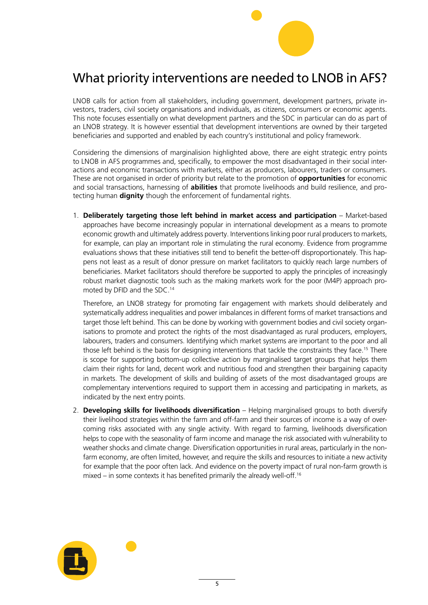

## <span id="page-4-0"></span>What priority interventions are needed to LNOB in AFS?

LNOB calls for action from all stakeholders, including government, development partners, private investors, traders, civil society organisations and individuals, as citizens, consumers or economic agents. This note focuses essentially on what development partners and the SDC in particular can do as part of an LNOB strategy. It is however essential that development interventions are owned by their targeted beneficiaries and supported and enabled by each country's institutional and policy framework.

Considering the dimensions of marginalision highlighted above, there are eight strategic entry points to LNOB in AFS programmes and, specifically, to empower the most disadvantaged in their social interactions and economic transactions with markets, either as producers, labourers, traders or consumers. These are not organised in order of priority but relate to the promotion of **opportunities** for economic and social transactions, harnessing of **abilities** that promote livelihoods and build resilience, and protecting human **dignity** though the enforcement of fundamental rights.

1. **Deliberately targeting those left behind in market access and participation** – Market-based approaches have become increasingly popular in international development as a means to promote economic growth and ultimately address poverty. Interventions linking poor rural producers to markets, for example, can play an important role in stimulating the rural economy. Evidence from programme evaluations shows that these initiatives still tend to benefit the better-off disproportionately. This happens not least as a result of donor pressure on market facilitators to quickly reach large numbers of beneficiaries. Market facilitators should therefore be supported to apply the principles of increasingly robust market diagnostic tools such as the making markets work for the poor (M4P) approach promoted by DFID and the SDC[.14](#page-9-0)

Therefore, an LNOB strategy for promoting fair engagement with markets should deliberately and systematically address inequalities and power imbalances in different forms of market transactions and target those left behind. This can be done by working with government bodies and civil society organisations to promote and protect the rights of the most disadvantaged as rural producers, employers, labourers, traders and consumers. Identifying which market systems are important to the poor and all those left behind is the basis for designing interventions that tackle the constraints they face.[15](#page-9-0) There is scope for supporting bottom-up collective action by marginalised target groups that helps them claim their rights for land, decent work and nutritious food and strengthen their bargaining capacity in markets. The development of skills and building of assets of the most disadvantaged groups are complementary interventions required to support them in accessing and participating in markets, as indicated by the next entry points.

2. **Developing skills for livelihoods diversification** – Helping marginalised groups to both diversify their livelihood strategies within the farm and off-farm and their sources of income is a way of overcoming risks associated with any single activity. With regard to farming, livelihoods diversification helps to cope with the seasonality of farm income and manage the risk associated with vulnerability to weather shocks and climate change. Diversification opportunities in rural areas, particularly in the nonfarm economy, are often limited, however, and require the skills and resources to initiate a new activity for example that the poor often lack. And evidence on the poverty impact of rural non-farm growth is mixed – in some contexts it has benefited primarily the already well-off.<sup>[16](#page-9-0)</sup>

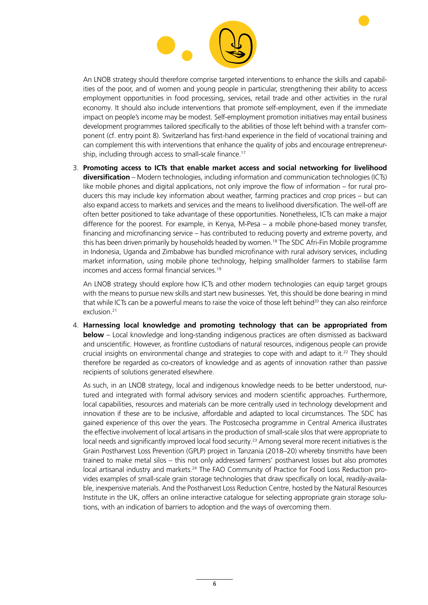

<span id="page-5-0"></span>An LNOB strategy should therefore comprise targeted interventions to enhance the skills and capabilities of the poor, and of women and young people in particular, strengthening their ability to access employment opportunities in food processing, services, retail trade and other activities in the rural economy. It should also include interventions that promote self-employment, even if the immediate impact on people's income may be modest. Self-employment promotion initiatives may entail business development programmes tailored specifically to the abilities of those left behind with a transfer component (cf. entry point 8). Switzerland has first-hand experience in the field of vocational training and can complement this with interventions that enhance the quality of jobs and encourage entrepreneurship, including through access to small-scale finance.<sup>17</sup>

3. **Promoting access to ICTs that enable market access and social networking for livelihood diversification** – Modern technologies, including information and communication technologies (ICTs) like mobile phones and digital applications, not only improve the flow of information – for rural producers this may include key information about weather, farming practices and crop prices – but can also expand access to markets and services and the means to livelihood diversification. The well-off are often better positioned to take advantage of these opportunities. Nonetheless, ICTs can make a major difference for the poorest. For example, in Kenya, M-Pesa – a mobile phone-based money transfer, financing and microfinancing service – has contributed to reducing poverty and extreme poverty, and this has been driven primarily by households headed by women[.18](#page-9-0) The SDC Afri-Fin Mobile programme in Indonesia, Uganda and Zimbabwe has bundled microfinance with rural advisory services, including market information, using mobile phone technology, helping smallholder farmers to stabilise farm incomes and access formal financial services[.19](#page-9-0)

An LNOB strategy should explore how ICTs and other modern technologies can equip target groups with the means to pursue new skills and start new businesses. Yet, this should be done bearing in mind that while ICTs can be a powerful means to raise the voice of those left behind<sup>20</sup> they can also reinforce exclusion[.21](#page-9-0)

4. **Harnessing local knowledge and promoting technology that can be appropriated from below** – Local knowledge and long-standing indigenous practices are often dismissed as backward and unscientific. However, as frontline custodians of natural resources, indigenous people can provide crucial insights on environmental change and strategies to cope with and adapt to it.[22](#page-9-0) They should therefore be regarded as co-creators of knowledge and as agents of innovation rather than passive recipients of solutions generated elsewhere.

As such, in an LNOB strategy, local and indigenous knowledge needs to be better understood, nurtured and integrated with formal advisory services and modern scientific approaches. Furthermore, local capabilities, resources and materials can be more centrally used in technology development and innovation if these are to be inclusive, affordable and adapted to local circumstances. The SDC has gained experience of this over the years. The Postcosecha programme in Central America illustrates the effective involvement of local artisans in the production of small-scale silos that were appropriate to local needs and significantly improved local food security[.23](#page-9-0) Among several more recent initiatives is the Grain Postharvest Loss Prevention (GPLP) project in Tanzania (2018–20) whereby tinsmiths have been trained to make metal silos – this not only addressed farmers' postharvest losses but also promotes local artisanal industry and markets.<sup>24</sup> The FAO Community of Practice for Food Loss Reduction provides examples of small-scale grain storage technologies that draw specifically on local, readily-available, inexpensive materials. And the Postharvest Loss Reduction Centre, hosted by the Natural Resources Institute in the UK, offers an online interactive catalogue for selecting appropriate grain storage solutions, with an indication of barriers to adoption and the ways of overcoming them.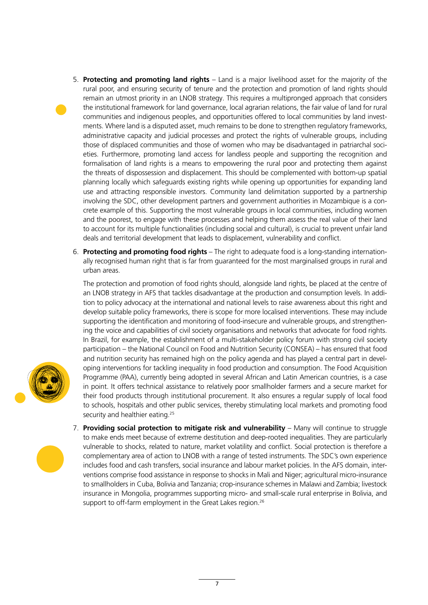- <span id="page-6-0"></span>5. **Protecting and promoting land rights** – Land is a major livelihood asset for the majority of the rural poor, and ensuring security of tenure and the protection and promotion of land rights should remain an utmost priority in an LNOB strategy. This requires a multipronged approach that considers the institutional framework for land governance, local agrarian relations, the fair value of land for rural communities and indigenous peoples, and opportunities offered to local communities by land investments. Where land is a disputed asset, much remains to be done to strengthen regulatory frameworks, administrative capacity and judicial processes and protect the rights of vulnerable groups, including those of displaced communities and those of women who may be disadvantaged in patriarchal societies. Furthermore, promoting land access for landless people and supporting the recognition and formalisation of land rights is a means to empowering the rural poor and protecting them against the threats of dispossession and displacement. This should be complemented with bottom-up spatial planning locally which safeguards existing rights while opening up opportunities for expanding land use and attracting responsible investors. Community land delimitation supported by a partnership involving the SDC, other development partners and government authorities in Mozambique is a concrete example of this. Supporting the most vulnerable groups in local communities, including women and the poorest, to engage with these processes and helping them assess the real value of their land to account for its multiple functionalities (including social and cultural), is crucial to prevent unfair land deals and territorial development that leads to displacement, vulnerability and conflict.
- 6. **Protecting and promoting food rights** The right to adequate food is a long-standing internationally recognised human right that is far from guaranteed for the most marginalised groups in rural and urban areas.

The protection and promotion of food rights should, alongside land rights, be placed at the centre of an LNOB strategy in AFS that tackles disadvantage at the production and consumption levels. In addition to policy advocacy at the international and national levels to raise awareness about this right and develop suitable policy frameworks, there is scope for more localised interventions. These may include supporting the identification and monitoring of food-insecure and vulnerable groups, and strengthening the voice and capabilities of civil society organisations and networks that advocate for food rights. In Brazil, for example, the establishment of a multi-stakeholder policy forum with strong civil society participation – the National Council on Food and Nutrition Security (CONSEA) – has ensured that food and nutrition security has remained high on the policy agenda and has played a central part in developing interventions for tackling inequality in food production and consumption. The Food Acquisition Programme (PAA), currently being adopted in several African and Latin American countries, is a case in point. It offers technical assistance to relatively poor smallholder farmers and a secure market for their food products through institutional procurement. It also ensures a regular supply of local food to schools, hospitals and other public services, thereby stimulating local markets and promoting food security and healthier eating.<sup>25</sup>

7. **Providing social protection to mitigate risk and vulnerability** – Many will continue to struggle to make ends meet because of extreme destitution and deep-rooted inequalities. They are particularly vulnerable to shocks, related to nature, market volatility and conflict. Social protection is therefore a complementary area of action to LNOB with a range of tested instruments. The SDC's own experience includes food and cash transfers, social insurance and labour market policies. In the AFS domain, interventions comprise food assistance in response to shocks in Mali and Niger; agricultural micro-insurance to smallholders in Cuba, Bolivia and Tanzania; crop-insurance schemes in Malawi and Zambia; livestock insurance in Mongolia, programmes supporting micro- and small-scale rural enterprise in Bolivia, and support to off-farm employment in the Great Lakes region.<sup>26</sup>



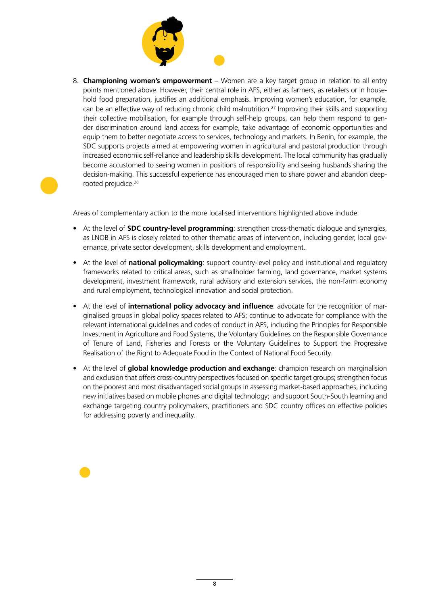

<span id="page-7-0"></span>8. **Championing women's empowerment** – Women are a key target group in relation to all entry points mentioned above. However, their central role in AFS, either as farmers, as retailers or in household food preparation, justifies an additional emphasis. Improving women's education, for example, can be an effective way of reducing chronic child malnutrition.<sup>27</sup> Improving their skills and supporting their collective mobilisation, for example through self-help groups, can help them respond to gender discrimination around land access for example, take advantage of economic opportunities and equip them to better negotiate access to services, technology and markets. In Benin, for example, the SDC supports projects aimed at empowering women in agricultural and pastoral production through increased economic self-reliance and leadership skills development. The local community has gradually become accustomed to seeing women in positions of responsibility and seeing husbands sharing the decision-making. This successful experience has encouraged men to share power and abandon deeprooted prejudice.<sup>28</sup>

Areas of complementary action to the more localised interventions highlighted above include:

- At the level of **SDC country-level programming**: strengthen cross-thematic dialogue and synergies, as LNOB in AFS is closely related to other thematic areas of intervention, including gender, local governance, private sector development, skills development and employment.
- At the level of **national policymaking**: support country-level policy and institutional and regulatory frameworks related to critical areas, such as smallholder farming, land governance, market systems development, investment framework, rural advisory and extension services, the non-farm economy and rural employment, technological innovation and social protection.
- At the level of **international policy advocacy and influence**: advocate for the recognition of marginalised groups in global policy spaces related to AFS; continue to advocate for compliance with the relevant international guidelines and codes of conduct in AFS, including the Principles for Responsible Investment in Agriculture and Food Systems, the Voluntary Guidelines on the Responsible Governance of Tenure of Land, Fisheries and Forests or the Voluntary Guidelines to Support the Progressive Realisation of the Right to Adequate Food in the Context of National Food Security.
- At the level of **global knowledge production and exchange**: champion research on marginalision and exclusion that offers cross-country perspectives focused on specific target groups; strengthen focus on the poorest and most disadvantaged social groups in assessing market-based approaches, including new initiatives based on mobile phones and digital technology; and support South-South learning and exchange targeting country policymakers, practitioners and SDC country offices on effective policies for addressing poverty and inequality.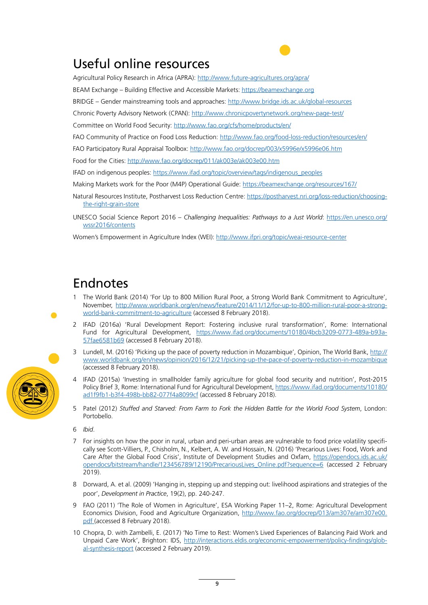## <span id="page-8-0"></span>Useful online resources

Agricultural Policy Research in Africa (APRA): <http://www.future-agricultures.org/apra/>

BEAM Exchange – Building Effective and Accessible Markets:<https://beamexchange.org>

BRIDGE – Gender mainstreaming tools and approaches:<http://www.bridge.ids.ac.uk/global-resources>

Chronic Poverty Advisory Network (CPAN): <http://www.chronicpovertynetwork.org/new-page-test/>

Committee on World Food Security: <http://www.fao.org/cfs/home/products/en/>

FAO Community of Practice on Food Loss Reduction:<http://www.fao.org/food-loss-reduction/resources/en/>

FAO Participatory Rural Appraisal Toolbox: <http://www.fao.org/docrep/003/x5996e/x5996e06.htm>

Food for the Cities: <http://www.fao.org/docrep/011/ak003e/ak003e00.htm>

IFAD on indigenous peoples: [https://www.ifad.org/topic/overview/tags/indigenous\\_peoples](https://www.ifad.org/topic/overview/tags/indigenous_peoples)

Making Markets work for the Poor (M4P) Operational Guide: <https://beamexchange.org/resources/167/>

Natural Resources Institute, Postharvest Loss Reduction Centre: [https://postharvest.nri.org/loss-reduction/choosing](https://postharvest.nri.org/loss-reduction/choosing-the-right-grain-store)[the-right-grain-store](https://postharvest.nri.org/loss-reduction/choosing-the-right-grain-store)

UNESCO Social Science Report 2016 – *Challenging Inequalities: Pathways to a Just World*: [https://en.unesco.org/](https://en.unesco.org/wssr2016/contents) [wssr2016/contents](https://en.unesco.org/wssr2016/contents)

Women's Empowerment in Agriculture Index (WEI): <http://www.ifpri.org/topic/weai-resource-center>

### Endnotes

- [1](#page-0-0) The World Bank (2014) 'For Up to 800 Million Rural Poor, a Strong World Bank Commitment to Agriculture', November, [http://www.worldbank.org/en/news/feature/2014/11/12/for-up-to-800-million-rural-poor-a-strong](http://www.worldbank.org/en/news/feature/2014/11/12/for-up-to-800-million-rural-poor-a-strong-world-bank-commitment-to-agriculture)[world-bank-commitment-to-agriculture](http://www.worldbank.org/en/news/feature/2014/11/12/for-up-to-800-million-rural-poor-a-strong-world-bank-commitment-to-agriculture) (accessed 8 February 2018).
- [2](#page-0-0) IFAD (2016a) 'Rural Development Report: Fostering inclusive rural transformation', Rome: International Fund for Agricultural Development, [https://www.ifad.org/documents/10180/4bcb3209-0773-489a-b93a-](https://www.ifad.org/documents/10180/4bcb3209-0773-489a-b93a-57fae6581b69)[57fae6581b69](https://www.ifad.org/documents/10180/4bcb3209-0773-489a-b93a-57fae6581b69) (accessed 8 February 2018).
- [3](#page-0-0) Lundell, M. (2016) 'Picking up the pace of poverty reduction in Mozambique', Opinion, The World Bank, [http://](http://www.worldbank.org/en/news/opinion/2016/12/21/picking-up-the-pace-of-poverty-reduction-in-mozambique) [www.worldbank.org/en/news/opinion/2016/12/21/picking-up-the-pace-of-poverty-reduction-in-mozambique](http://www.worldbank.org/en/news/opinion/2016/12/21/picking-up-the-pace-of-poverty-reduction-in-mozambique) (accessed 8 February 2018).
- IFAD (2015a) 'Investing in smallholder family agriculture for global food security and nutrition', Post-2015 Policy Brief 3, Rome: International Fund for Agricultural Development, [https://www.ifad.org/documents/10180/](https://www.ifad.org/documents/10180/ad1f9fb1-b3f4-498b-bb82-077f4a8099cf) [ad1f9fb1-b3f4-498b-bb82-077f4a8099cf](https://www.ifad.org/documents/10180/ad1f9fb1-b3f4-498b-bb82-077f4a8099cf) (accessed 8 February 2018).
- [5](#page-1-0) Patel (2012) *Stuffed and Starved: From Farm to Fork the Hidden Battle for the World Food System*, London: Portobello.

[6](#page-1-0) *Ibid*.

- [7](#page-1-0) For insights on how the poor in rural, urban and peri-urban areas are vulnerable to food price volatility specifically see Scott-Villiers, P., Chisholm, N., Kelbert, A. W. and Hossain, N. (2016) 'Precarious Lives: Food, Work and Care After the Global Food Crisis', Institute of Development Studies and Oxfam, [https://opendocs.ids.ac.uk/](https://opendocs.ids.ac.uk/opendocs/bitstream/handle/123456789/12190/PrecariousLives_Online.pdf?sequence=6) [opendocs/bitstream/handle/123456789/12190/PrecariousLives\\_Online.pdf?sequence=6](https://opendocs.ids.ac.uk/opendocs/bitstream/handle/123456789/12190/PrecariousLives_Online.pdf?sequence=6) (accessed 2 February 2019).
- [8](#page-1-0) Dorward, A. et al. (2009) 'Hanging in, stepping up and stepping out: livelihood aspirations and strategies of the poor', *Development in Practice*, 19(2), pp. 240-247.
- [9](#page-1-0) FAO (2011) 'The Role of Women in Agriculture', ESA Working Paper 11–2, Rome: Agricultural Development Economics Division, Food and Agriculture Organization, [http://www.fao.org/docrep/013/am307e/am307e00.](http://www.fao.org/docrep/013/am307e/am307e00.pdf) [pdf](http://www.fao.org/docrep/013/am307e/am307e00.pdf) (accessed 8 February 2018).
- [10](#page-1-0) Chopra, D. with Zambelli, E. (2017) 'No Time to Rest: Women's Lived Experiences of Balancing Paid Work and Unpaid Care Work', Brighton: IDS, [http://interactions.eldis.org/economic-empowerment/policy-findings/glob](http://interactions.eldis.org/economic-empowerment/policy-findings/global-synthesis-report)[al-synthesis-report](http://interactions.eldis.org/economic-empowerment/policy-findings/global-synthesis-report) (accessed 2 February 2019).

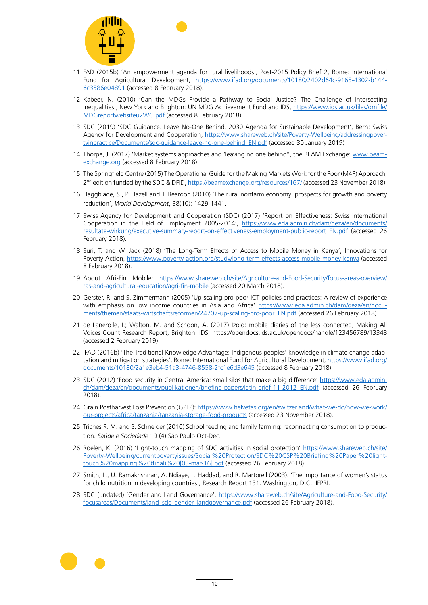<span id="page-9-0"></span>

- [11](#page-1-0) FAD (2015b) 'An empowerment agenda for rural livelihoods', Post-2015 Policy Brief 2, Rome: International Fund for Agricultural Development, [https://www.ifad.org/documents/10180/2402d64c-9165-4302-b144-](https://www.ifad.org/documents/10180/2402d64c-9165-4302-b144-6c3586e04891) [6c3586e04891](https://www.ifad.org/documents/10180/2402d64c-9165-4302-b144-6c3586e04891) (accessed 8 February 2018).
- [12](#page-2-0) Kabeer, N. (2010) 'Can the MDGs Provide a Pathway to Social Justice? The Challenge of Intersecting Inequalities', New York and Brighton: UN MDG Achievement Fund and IDS, [https://www.ids.ac.uk/files/dmfile/](https://www.ids.ac.uk/files/dmfile/MDGreportwebsiteu2WC.pdf) [MDGreportwebsiteu2WC.pdf](https://www.ids.ac.uk/files/dmfile/MDGreportwebsiteu2WC.pdf) (accessed 8 February 2018).
- [13](#page-2-0) SDC (2019) 'SDC Guidance. Leave No-One Behind. 2030 Agenda for Sustainable Development', Bern: Swiss Agency for Development and Cooperation, [https://www.shareweb.ch/site/Poverty-Wellbeing/addressingpover](https://www.shareweb.ch/site/Poverty-Wellbeing/addressingpovertyinpractice/Documents/sdc-guidance-leave-no-one-behind_EN.pdf)[tyinpractice/Documents/sdc-guidance-leave-no-one-behind\\_EN.pdf](https://www.shareweb.ch/site/Poverty-Wellbeing/addressingpovertyinpractice/Documents/sdc-guidance-leave-no-one-behind_EN.pdf) (accessed 30 January 2019)
- [14](#page-4-0) Thorpe, J. (2017) 'Market systems approaches and 'leaving no one behind'', the BEAM Exchange: [www.beam](http://www.beamexchange.org)[exchange.org](http://www.beamexchange.org) (accessed 8 February 2018).
- [15](#page-4-0) The Springfield Centre (2015) The Operational Guide for the Making Markets Work for the Poor (M4P) Approach, 2<sup>nd</sup> edition funded by the SDC & DFID,<https://beamexchange.org/resources/167/> (accessed 23 November 2018).
- [16](#page-4-0) Haggblade, S., P. Hazell and T. Reardon (2010) 'The rural nonfarm economy: prospects for growth and poverty reduction', *World Development*, 38(10): 1429-1441.
- [17](#page-5-0) Swiss Agency for Development and Cooperation (SDC) (2017) 'Report on Effectiveness: Swiss International Cooperation in the Field of Employment 2005-2014', [https://www.eda.admin.ch/dam/deza/en/documents/](https://www.eda.admin.ch/dam/deza/en/documents/resultate-wirkung/executive-summary-report-on-effectiveness-employment-public-report_EN.pdf) [resultate-wirkung/executive-summary-report-on-effectiveness-employment-public-report\\_EN.pdf](https://www.eda.admin.ch/dam/deza/en/documents/resultate-wirkung/executive-summary-report-on-effectiveness-employment-public-report_EN.pdf) (accessed 26 February 2018).
- [18](#page-5-0) Suri, T. and W. Jack (2018) 'The Long-Term Effects of Access to Mobile Money in Kenya', Innovations for Poverty Action, <https://www.poverty-action.org/study/long-term-effects-access-mobile-money-kenya>(accessed 8 February 2018).
- [19](#page-5-0) About Afri-Fin Mobile: [https://www.shareweb.ch/site/Agriculture-and-Food-Security/focus-areas-overview/](https://www.shareweb.ch/site/Agriculture-and-Food-Security/focus-areas-overview/ras-and-agricultural-education/agri-fin-mobile) [ras-and-agricultural-education/agri-fin-mobile](https://www.shareweb.ch/site/Agriculture-and-Food-Security/focus-areas-overview/ras-and-agricultural-education/agri-fin-mobile) (accessed 20 March 2018).
- [20](#page-5-0) Gerster, R. and S. Zimmermann (2005) 'Up-scaling pro-poor ICT policies and practices: A review of experience with emphasis on low income countries in Asia and Africa' [https://www.eda.admin.ch/dam/deza/en/docu](https://www.eda.admin.ch/dam/deza/en/documents/themen/staats-wirtschaftsreformen/24707-up-scaling-pro-poor_EN.pdf)[ments/themen/staats-wirtschaftsreformen/24707-up-scaling-pro-poor\\_EN.pdf](https://www.eda.admin.ch/dam/deza/en/documents/themen/staats-wirtschaftsreformen/24707-up-scaling-pro-poor_EN.pdf) (accessed 26 February 2018).
- [21](#page-5-0) de Lanerolle, I.; Walton, M. and Schoon, A. (2017) Izolo: mobile diaries of the less connected, Making All Voices Count Research Report, Brighton: IDS, https://opendocs.ids.ac.uk/opendocs/handle/123456789/13348 (accessed 2 February 2019).
- [22](#page-5-0) IFAD (2016b) 'The Traditional Knowledge Advantage: Indigenous peoples' knowledge in climate change adaptation and mitigation strategies', Rome: International Fund for Agricultural Development, [https://www.ifad.org/](https://www.ifad.org/documents/10180/2a1e3eb4-51a3-4746-8558-2fc1e6d3e645) [documents/10180/2a1e3eb4-51a3-4746-8558-2fc1e6d3e645](https://www.ifad.org/documents/10180/2a1e3eb4-51a3-4746-8558-2fc1e6d3e645) (accessed 8 February 2018).
- [23](#page-5-0) SDC (2012) 'Food security in Central America: small silos that make a big difference' [https://www.eda.admin.](https://www.eda.admin.ch/dam/deza/en/documents/publikationen/briefing-papers/latin-brief-11-2012_EN.pdf) [ch/dam/deza/en/documents/publikationen/briefing-papers/latin-brief-11-2012\\_EN.pdf](https://www.eda.admin.ch/dam/deza/en/documents/publikationen/briefing-papers/latin-brief-11-2012_EN.pdf) (accessed 26 February 2018).
- [24](#page-5-0) Grain Postharvest Loss Prevention (GPLP): [https://www.helvetas.org/en/switzerland/what-we-do/how-we-work/](https://www.helvetas.org/en/switzerland/what-we-do/how-we-work/our-projects/africa/tanzania/tanzania-storage-food-products) [our-projects/africa/tanzania/tanzania-storage-food-products](https://www.helvetas.org/en/switzerland/what-we-do/how-we-work/our-projects/africa/tanzania/tanzania-storage-food-products) (accessed 23 November 2018).
- [25](#page-6-0) Triches R. M. and S. Schneider (2010) School feeding and family farming: reconnecting consumption to production. *Saúde e Sociedade* 19 (4) São Paulo Oct-Dec.
- [26](#page-6-0) Roelen, K. (2016) 'Light-touch mapping of SDC activities in social protection' [https://www.shareweb.ch/site/](https://www.shareweb.ch/site/Poverty-Wellbeing/currentpovertyissues/Social%20Protection/SDC%20CSP%20Briefing%20Paper%20light-touch%20mapping%20(final)%20%5b03-mar-16%5d.pdf) [Poverty-Wellbeing/currentpovertyissues/Social%20Protection/SDC%20CSP%20Briefing%20Paper%20light](https://www.shareweb.ch/site/Poverty-Wellbeing/currentpovertyissues/Social%20Protection/SDC%20CSP%20Briefing%20Paper%20light-touch%20mapping%20(final)%20%5b03-mar-16%5d.pdf)[touch%20mapping%20\(final\)%20\[03-mar-16\].pdf](https://www.shareweb.ch/site/Poverty-Wellbeing/currentpovertyissues/Social%20Protection/SDC%20CSP%20Briefing%20Paper%20light-touch%20mapping%20(final)%20%5b03-mar-16%5d.pdf) (accessed 26 February 2018).
- [27](#page-7-0) Smith, L., U. Ramakrishnan, A. Ndiaye, L. Haddad, and R. Martorell (2003). 'The importance of women's status for child nutrition in developing countries', Research Report 131. Washington, D.C.: IFPRI.
- [28](#page-7-0) SDC (undated) 'Gender and Land Governance', [https://www.shareweb.ch/site/Agriculture-and-Food-Security/](https://www.shareweb.ch/site/Agriculture-and-Food-Security/focusareas/Documents/land_sdc_gender_landgovernance.pdf) [focusareas/Documents/land\\_sdc\\_gender\\_landgovernance.pdf](https://www.shareweb.ch/site/Agriculture-and-Food-Security/focusareas/Documents/land_sdc_gender_landgovernance.pdf) (accessed 26 February 2018).